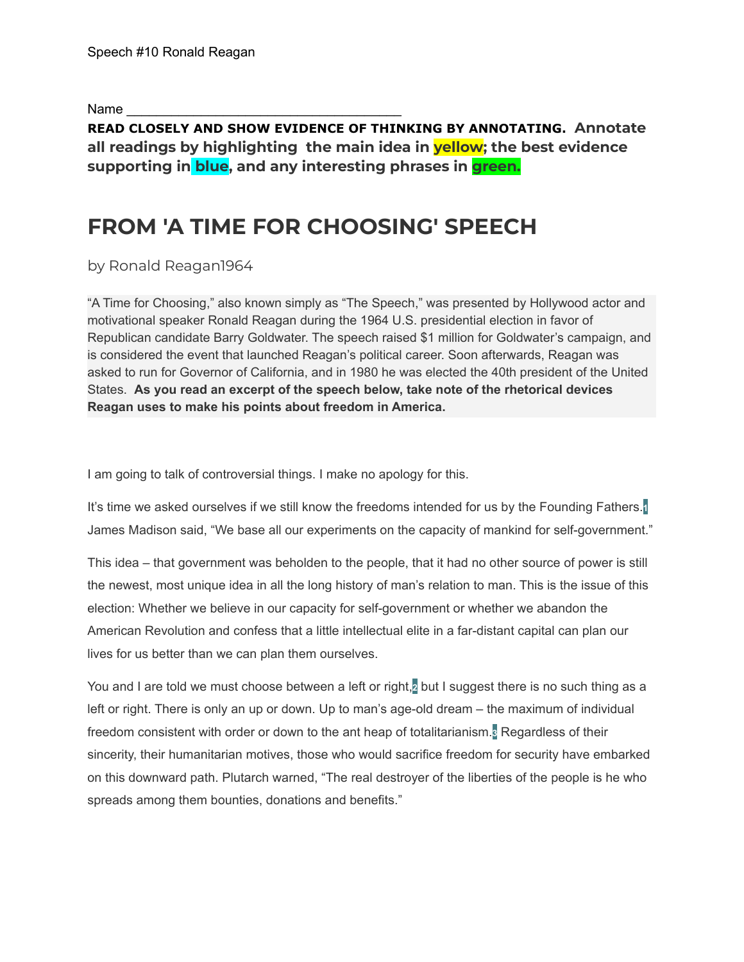Name

**READ CLOSELY AND SHOW EVIDENCE OF THINKING BY ANNOTATING. Annotate all readings by highlighting the main idea in yellow; the best evidence supporting in blue, and any interesting phrases in green.**

# **FROM 'A TIME FOR CHOOSING' SPEECH**

by Ronald Reagan1964

"A Time for Choosing," also known simply as "The Speech," was presented by Hollywood actor and motivational speaker Ronald Reagan during the 1964 U.S. presidential election in favor of Republican candidate Barry Goldwater. The speech raised \$1 million for Goldwater's campaign, and is considered the event that launched Reagan's political career. Soon afterwards, Reagan was asked to run for Governor of California, and in 1980 he was elected the 40th president of the United States. **As you read an excerpt of the speech below, take note of the rhetorical devices Reagan uses to make his points about freedom in America.**

I am going to talk of controversial things. I make no apology for this.

It's time we asked ourselves if we still know the freedoms intended for us by the Founding Fathers.**1** James Madison said, "We base all our experiments on the capacity of mankind for self-government."

This idea – that government was beholden to the people, that it had no other source of power is still the newest, most unique idea in all the long history of man's relation to man. This is the issue of this election: Whether we believe in our capacity for self-government or whether we abandon the American Revolution and confess that a little intellectual elite in a far-distant capital can plan our lives for us better than we can plan them ourselves.

You and I are told we must choose between a left or right,**2** but I suggest there is no such thing as a left or right. There is only an up or down. Up to man's age-old dream – the maximum of individual freedom consistent with order or down to the ant heap of totalitarianism.**3** Regardless of their sincerity, their humanitarian motives, those who would sacrifice freedom for security have embarked on this downward path. Plutarch warned, "The real destroyer of the liberties of the people is he who spreads among them bounties, donations and benefits."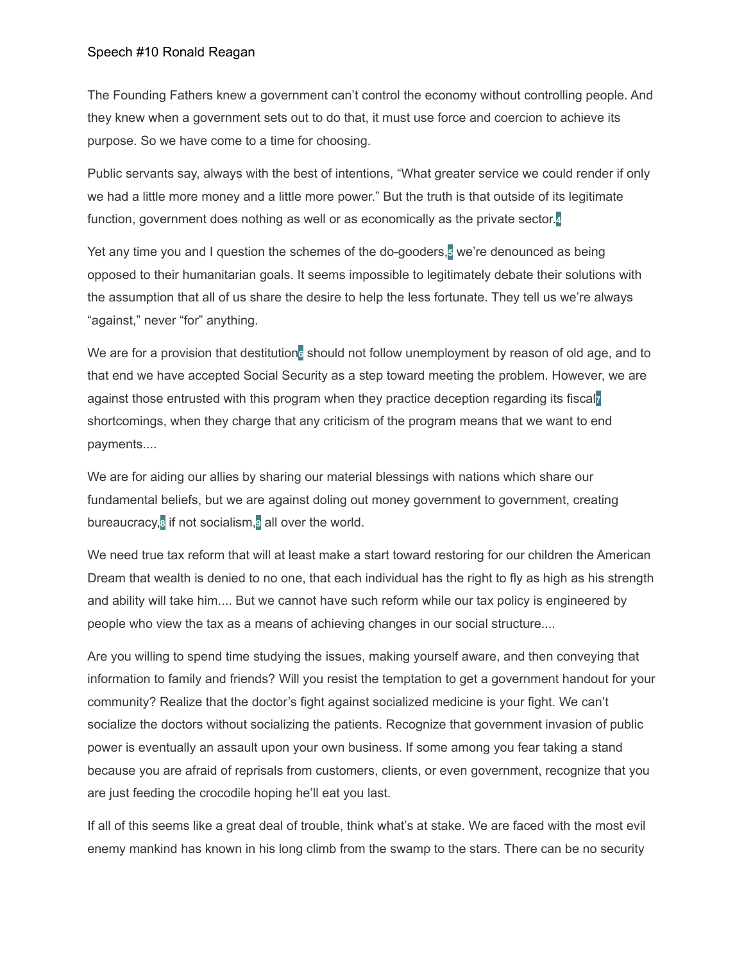#### Speech #10 Ronald Reagan

The Founding Fathers knew a government can't control the economy without controlling people. And they knew when a government sets out to do that, it must use force and coercion to achieve its purpose. So we have come to a time for choosing.

Public servants say, always with the best of intentions, "What greater service we could render if only we had a little more money and a little more power." But the truth is that outside of its legitimate function, government does nothing as well or as economically as the private sector.**4**

Yet any time you and I question the schemes of the do-gooders,**5** we're denounced as being opposed to their humanitarian goals. It seems impossible to legitimately debate their solutions with the assumption that all of us share the desire to help the less fortunate. They tell us we're always "against," never "for" anything.

We are for a provision that destitution**s** should not follow unemployment by reason of old age, and to that end we have accepted Social Security as a step toward meeting the problem. However, we are against those entrusted with this program when they practice deception regarding its fiscal**7** shortcomings, when they charge that any criticism of the program means that we want to end payments....

We are for aiding our allies by sharing our material blessings with nations which share our fundamental beliefs, but we are against doling out money government to government, creating bureaucracy,**8** if not socialism,**9** all over the world.

We need true tax reform that will at least make a start toward restoring for our children the American Dream that wealth is denied to no one, that each individual has the right to fly as high as his strength and ability will take him.... But we cannot have such reform while our tax policy is engineered by people who view the tax as a means of achieving changes in our social structure....

Are you willing to spend time studying the issues, making yourself aware, and then conveying that information to family and friends? Will you resist the temptation to get a government handout for your community? Realize that the doctor's fight against socialized medicine is your fight. We can't socialize the doctors without socializing the patients. Recognize that government invasion of public power is eventually an assault upon your own business. If some among you fear taking a stand because you are afraid of reprisals from customers, clients, or even government, recognize that you are just feeding the crocodile hoping he'll eat you last.

If all of this seems like a great deal of trouble, think what's at stake. We are faced with the most evil enemy mankind has known in his long climb from the swamp to the stars. There can be no security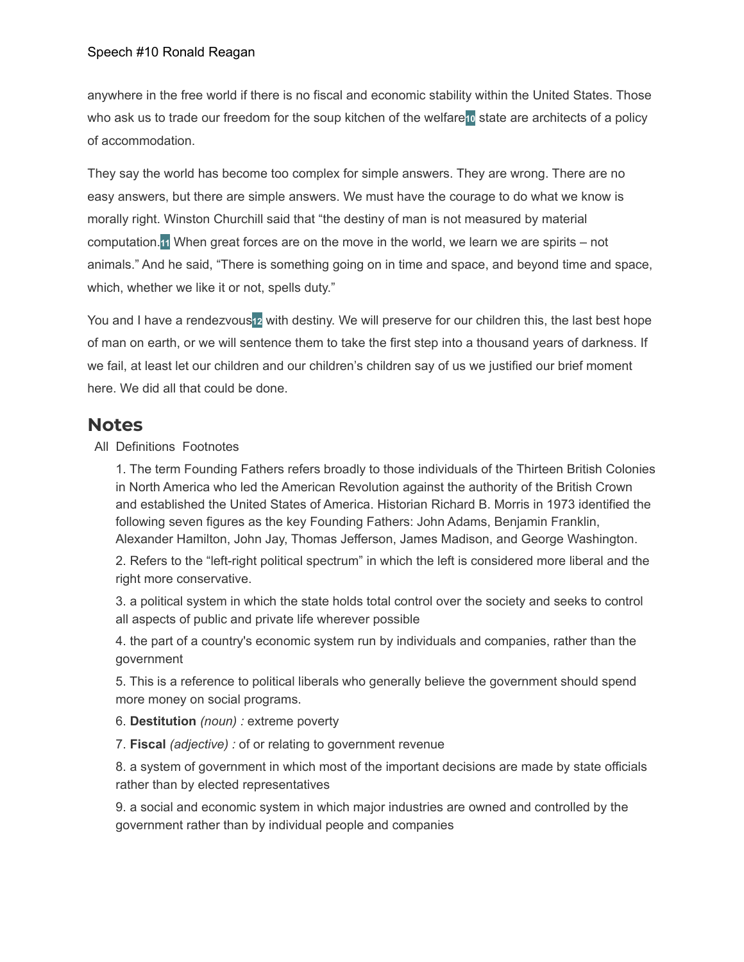### Speech #10 Ronald Reagan

anywhere in the free world if there is no fiscal and economic stability within the United States. Those who ask us to trade our freedom for the soup kitchen of the welfare**10** state are architects of a policy of accommodation.

They say the world has become too complex for simple answers. They are wrong. There are no easy answers, but there are simple answers. We must have the courage to do what we know is morally right. Winston Churchill said that "the destiny of man is not measured by material computation.**11** When great forces are on the move in the world, we learn we are spirits – not animals." And he said, "There is something going on in time and space, and beyond time and space, which, whether we like it or not, spells duty."

You and I have a rendezvous<sup>12</sup> with destiny. We will preserve for our children this, the last best hope of man on earth, or we will sentence them to take the first step into a thousand years of darkness. If we fail, at least let our children and our children's children say of us we justified our brief moment here. We did all that could be done.

## **Notes**

All Definitions Footnotes

1. The term Founding Fathers refers broadly to those individuals of the Thirteen British Colonies in North America who led the American Revolution against the authority of the British Crown and established the United States of America. Historian Richard B. Morris in 1973 identified the following seven figures as the key Founding Fathers: John Adams, Benjamin Franklin, Alexander Hamilton, John Jay, Thomas Jefferson, James Madison, and George Washington.

2. Refers to the "left-right political spectrum" in which the left is considered more liberal and the right more conservative.

3. a political system in which the state holds total control over the society and seeks to control all aspects of public and private life wherever possible

4. the part of a country's economic system run by individuals and companies, rather than the government

5. This is a reference to political liberals who generally believe the government should spend more money on social programs.

- 6. **Destitution** *(noun) :* extreme poverty
- 7. **Fiscal** *(adjective) :* of or relating to government revenue

8. a system of government in which most of the important decisions are made by state officials rather than by elected representatives

9. a social and economic system in which major industries are owned and controlled by the government rather than by individual people and companies